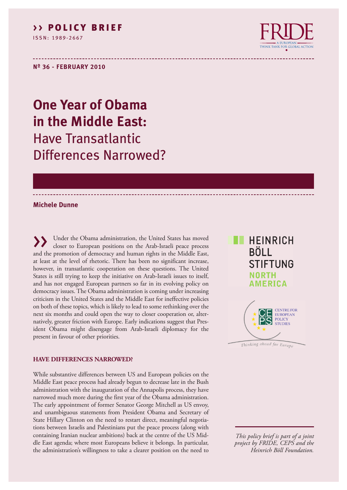### **> > POL I C Y B R I E F**

I S S N : 1 9 8 9 - 2 6 6 7



**Nº 36 - FEBRUARY 2010**

# **One Year of Obama in the Middle East:** Have Transatlantic Differences Narrowed?

#### **Michele Dunne**

Under the Obama administration, the United States has moved closer to European positions on the Arab-Israeli peace process and the promotion of democracy and human rights in the Middle East, at least at the level of rhetoric. There has been no significant increase, however, in transatlantic cooperation on these questions. The United States is still trying to keep the initiative on Arab-Israeli issues to itself, and has not engaged European partners so far in its evolving policy on democracy issues. The Obama administration is coming under increasing criticism in the United States and the Middle East for ineffective policies on both of these topics, which is likely to lead to some rethinking over the next six months and could open the way to closer cooperation or, alternatively, greater friction with Europe. Early indications suggest that President Obama might disengage from Arab-Israeli diplomacy for the present in favour of other priorities.

#### **HAVE DIFFERENCES NARROWED?**

While substantive differences between US and European policies on the Middle East peace process had already begun to decrease late in the Bush administration with the inauguration of the Annapolis process, they have narrowed much more during the first year of the Obama administration. The early appointment of former Senator George Mitchell as US envoy, and unambiguous statements from President Obama and Secretary of State Hillary Clinton on the need to restart direct, meaningful negotiations between Israelis and Palestinians put the peace process (along with containing Iranian nuclear ambitions) back at the centre of the US Middle East agenda; where most Europeans believe it belongs. In particular, the administration's willingness to take a clearer position on the need to



Thinking ahead for Europe

*This policy brief is part of a joint project by FRIDE, CEPS and the Heinrich Böll Foundation.*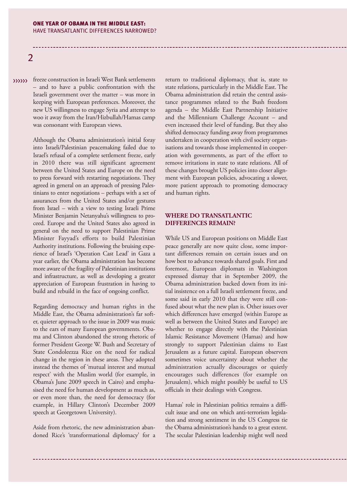# 2

>>>>>>>>>>>> freeze construction in Israeli West Bank settlements – and to have a public confrontation with the Israeli government over the matter – was more in keeping with European preferences. Moreover, the new US willingness to engage Syria and attempt to woo it away from the Iran/Hizbullah/Hamas camp was consonant with European views.

> Although the Obama administration's initial foray into Israeli/Palestinian peacemaking failed due to Israel's refusal of a complete settlement freeze, early in 2010 there was still significant agreement between the United States and Europe on the need to press forward with restarting negotiations. They agreed in general on an approach of pressing Palestinians to enter negotiations – perhaps with a set of assurances from the United States and/or gestures from Israel – with a view to testing Israeli Prime Minister Benjamin Netanyahu's willingness to proceed. Europe and the United States also agreed in general on the need to support Palestinian Prime Minister Fayyad's efforts to build Palestinian Authority institutions. Following the bruising experience of Israel's 'Operation Cast Lead' in Gaza a year earlier, the Obama administration has become more aware of the fragility of Palestinian institutions and infrastructure, as well as developing a greater appreciation of European frustration in having to build and rebuild in the face of ongoing conflict.

> Regarding democracy and human rights in the Middle East, the Obama administration's far softer, quieter approach to the issue in 2009 was music to the ears of many European governments. Obama and Clinton abandoned the strong rhetoric of former President George W. Bush and Secretary of State Condoleezza Rice on the need for radical change in the region in these areas. They adopted instead the themes of 'mutual interest and mutual respect' with the Muslim world (for example, in Obama's June 2009 speech in Cairo) and emphasised the need for human development as much as, or even more than, the need for democracy (for example, in Hillary Clinton's December 2009 speech at Georgetown University).

> Aside from rhetoric, the new administration abandoned Rice's 'transformational diplomacy' for a

return to traditional diplomacy, that is, state to state relations, particularly in the Middle East. The Obama administration did retain the central assistance programmes related to the Bush freedom agenda – the Middle East Partnership Initiative and the Millennium Challenge Account – and even increased their level of funding. But they also shifted democracy funding away from programmes undertaken in cooperation with civil society organisations and towards those implemented in cooperation with governments, as part of the effort to remove irritations in state to state relations. All of these changes brought US policies into closer alignment with European policies, advocating a slower, more patient approach to promoting democracy and human rights.

#### **WHERE DO TRANSATLANTIC DIFFERENCES REMAIN?**

While US and European positions on Middle East peace generally are now quite close, some important differences remain on certain issues and on how best to advance towards shared goals. First and foremost, European diplomats in Washington expressed dismay that in September 2009, the Obama administration backed down from its initial insistence on a full Israeli settlement freeze, and some said in early 2010 that they were still confused about what the new plan is. Other issues over which differences have emerged (within Europe as well as between the United States and Europe) are whether to engage directly with the Palestinian Islamic Resistance Movement (Hamas) and how strongly to support Palestinian claims to East Jerusalem as a future capital. European observers sometimes voice uncertainty about whether the administration actually discourages or quietly encourages such differences (for example on Jerusalem), which might possibly be useful to US officials in their dealings with Congress.

Hamas' role in Palestinian politics remains a difficult issue and one on which anti-terrorism legislation and strong sentiment in the US Congress tie the Obama administration's hands to a great extent. The secular Palestinian leadership might well need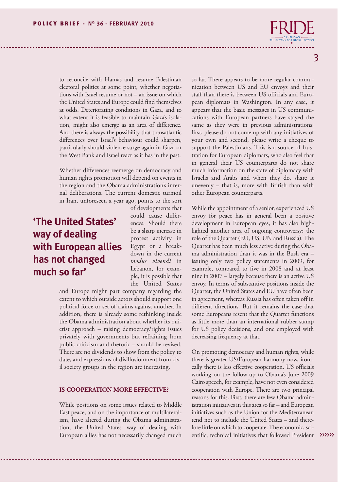to reconcile with Hamas and resume Palestinian electoral politics at some point, whether negotiations with Israel resume or not – an issue on which the United States and Europe could find themselves at odds. Deteriorating conditions in Gaza, and to what extent it is feasible to maintain Gaza's isolation, might also emerge as an area of difference. And there is always the possibility that transatlantic differences over Israel's behaviour could sharpen, particularly should violence surge again in Gaza or the West Bank and Israel react as it has in the past.

Whether differences reemerge on democracy and human rights promotion will depend on events in the region and the Obama administration's internal deliberations. The current domestic turmoil in Iran, unforeseen a year ago, points to the sort

# **'The United States' way of dealing with European allies has not changed much so far'**

of developments that could cause differences. Should there be a sharp increase in protest activity in Egypt or a breakdown in the current *modus vivendi* in Lebanon, for example, it is possible that the United States

and Europe might part company regarding the extent to which outside actors should support one political force or set of claims against another. In addition, there is already some rethinking inside the Obama administration about whether its quietist approach – raising democracy/rights issues privately with governments but refraining from public criticism and rhetoric – should be revised. There are no dividends to show from the policy to date, and expressions of disillusionment from civil society groups in the region are increasing.

#### **IS COOPERATION MORE EFFECTIVE?**

While positions on some issues related to Middle East peace, and on the importance of multilateralism, have altered during the Obama administration, the United States' way of dealing with European allies has not necessarily changed much

so far. There appears to be more regular communication between US and EU envoys and their staff than there is between US officials and European diplomats in Washington. In any case, it appears that the basic messages in US communications with European partners have stayed the same as they were in previous administrations: first, please do not come up with any initiatives of your own and second, please write a cheque to support the Palestinians. This is a source of frustration for European diplomats, who also feel that in general their US counterparts do not share much information on the state of diplomacy with Israelis and Arabs and when they do, share it unevenly – that is, more with British than with other European counterparts.

While the appointment of a senior, experienced US envoy for peace has in general been a positive development in European eyes, it has also highlighted another area of ongoing controversy: the role of the Quartet (EU, US, UN and Russia). The Quartet has been much less active during the Obama administration than it was in the Bush era – issuing only two policy statements in 2009, for example, compared to five in 2008 and at least nine in 2007 – largely because there is an active US envoy. In terms of substantive positions inside the Quartet, the United States and EU have often been in agreement, whereas Russia has often taken off in different directions. But it remains the case that some Europeans resent that the Quartet functions as little more than an international rubber stamp for US policy decisions, and one employed with decreasing frequency at that.

On promoting democracy and human rights, while there is greater US/European harmony now, ironically there is less effective cooperation. US officials working on the follow-up to Obama's June 2009 Cairo speech, for example, have not even considered cooperation with Europe. There are two principal reasons for this. First, there are few Obama administration initiatives in this area so far – and European initiatives such as the Union for the Mediterranean tend not to include the United States – and therefore little on which to cooperate. The economic, scientific, technical initiatives that followed President >>>>>>>>>>>